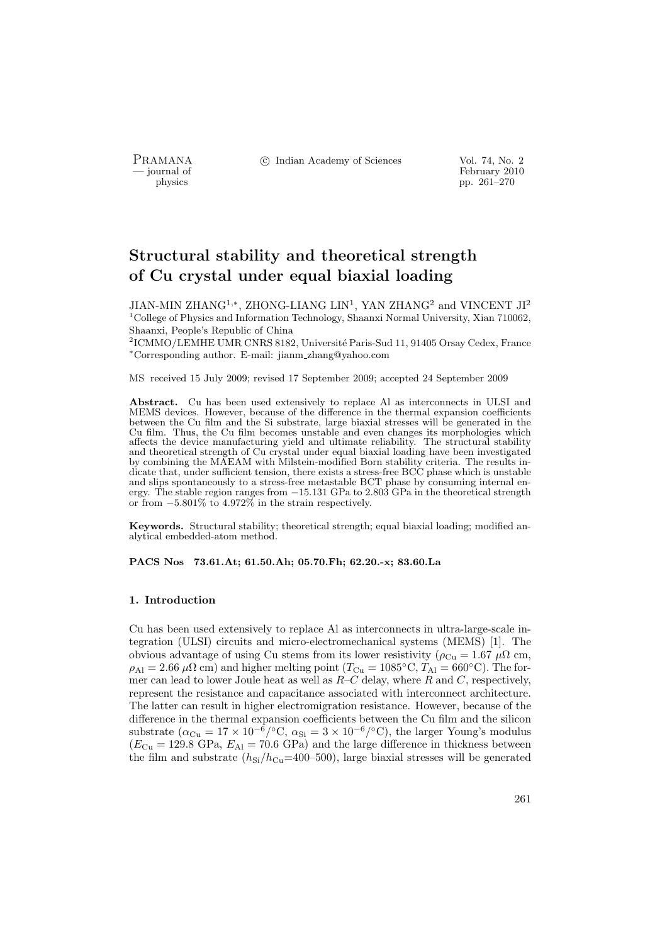PRAMANA °c Indian Academy of Sciences Vol. 74, No. 2

physics<br>
and the settlement of February 2010<br>
pp. 261–270<br>
pp. 261–270 physics pp. 261–270

# Structural stability and theoretical strength of Cu crystal under equal biaxial loading

JIAN-MIN ZHANG<sup>1,∗</sup>, ZHONG-LIANG LIN<sup>1</sup>, YAN ZHANG<sup>2</sup> and VINCENT JI<sup>2</sup>  $^1$  College of Physics and Information Technology, Shaanxi Normal University, Xian 710062, Shaanxi, People's Republic of China

 $^{2}$ ICMMO/LEMHE UMR CNRS 8182, Université Paris-Sud 11, 91405 Orsay Cedex, France <sup>∗</sup>Corresponding author. E-mail: jianm zhang@yahoo.com

MS received 15 July 2009; revised 17 September 2009; accepted 24 September 2009

Abstract. Cu has been used extensively to replace Al as interconnects in ULSI and MEMS devices. However, because of the difference in the thermal expansion coefficients between the Cu film and the Si substrate, large biaxial stresses will be generated in the Cu film. Thus, the Cu film becomes unstable and even changes its morphologies which affects the device manufacturing yield and ultimate reliability. The structural stability and theoretical strength of Cu crystal under equal biaxial loading have been investigated by combining the MAEAM with Milstein-modified Born stability criteria. The results indicate that, under sufficient tension, there exists a stress-free BCC phase which is unstable and slips spontaneously to a stress-free metastable BCT phase by consuming internal energy. The stable region ranges from −15.131 GPa to 2.803 GPa in the theoretical strength or from −5.801% to 4.972% in the strain respectively.

Keywords. Structural stability; theoretical strength; equal biaxial loading; modified analytical embedded-atom method.

PACS Nos 73.61.At; 61.50.Ah; 05.70.Fh; 62.20.-x; 83.60.La

# 1. Introduction

Cu has been used extensively to replace Al as interconnects in ultra-large-scale integration (ULSI) circuits and micro-electromechanical systems (MEMS) [1]. The obvious advantage of using Cu stems from its lower resistivity ( $\rho_{Cu} = 1.67 \mu\Omega$  cm,  $\rho_{\text{Al}} = 2.66 \,\mu\Omega \text{ cm}$ ) and higher melting point  $(T_{\text{Cu}} = 1085^{\circ}\text{C}, T_{\text{Al}} = 660^{\circ}\text{C})$ . The former can lead to lower Joule heat as well as  $R-C$  delay, where R and C, respectively, represent the resistance and capacitance associated with interconnect architecture. The latter can result in higher electromigration resistance. However, because of the difference in the thermal expansion coefficients between the Cu film and the silicon substrate ( $\alpha_{\text{Cu}} = 17 \times 10^{-6} / \text{°C}$ ,  $\alpha_{\text{Si}} = 3 \times 10^{-6} / \text{°C}$ ), the larger Young's modulus  $(E_{\text{Cu}} = 129.8 \text{ GPa}, E_{\text{Al}} = 70.6 \text{ GPa})$  and the large difference in thickness between the film and substrate  $(h<sub>Si</sub>/h<sub>Cu</sub>=400–500)$ , large biaxial stresses will be generated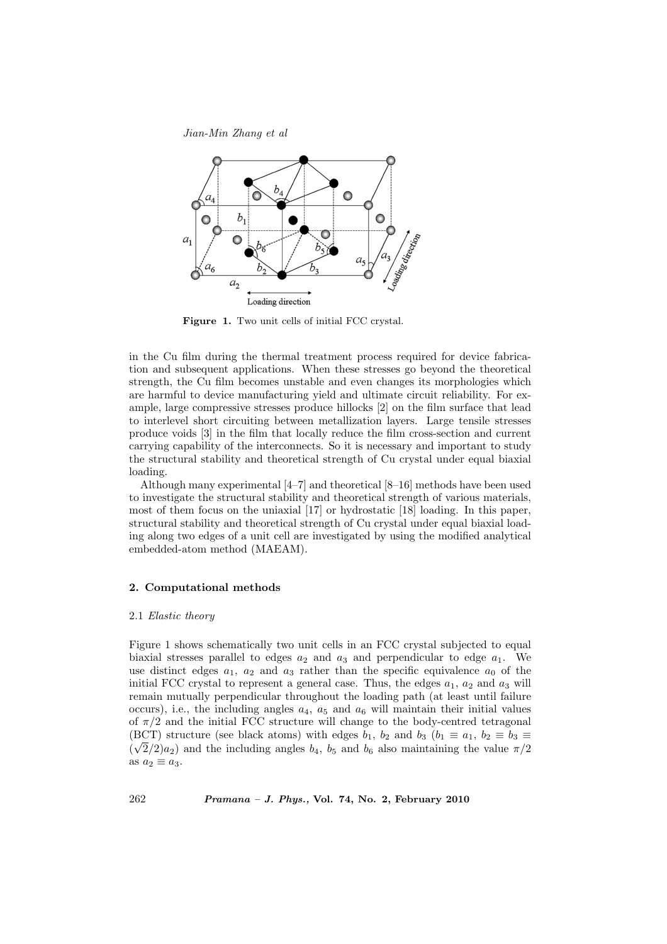

Figure 1. Two unit cells of initial FCC crystal.

in the Cu film during the thermal treatment process required for device fabrication and subsequent applications. When these stresses go beyond the theoretical strength, the Cu film becomes unstable and even changes its morphologies which are harmful to device manufacturing yield and ultimate circuit reliability. For example, large compressive stresses produce hillocks [2] on the film surface that lead to interlevel short circuiting between metallization layers. Large tensile stresses produce voids [3] in the film that locally reduce the film cross-section and current carrying capability of the interconnects. So it is necessary and important to study the structural stability and theoretical strength of Cu crystal under equal biaxial loading.

Although many experimental [4–7] and theoretical [8–16] methods have been used to investigate the structural stability and theoretical strength of various materials, most of them focus on the uniaxial [17] or hydrostatic [18] loading. In this paper, structural stability and theoretical strength of Cu crystal under equal biaxial loading along two edges of a unit cell are investigated by using the modified analytical embedded-atom method (MAEAM).

# 2. Computational methods

#### 2.1 Elastic theory

Figure 1 shows schematically two unit cells in an FCC crystal subjected to equal biaxial stresses parallel to edges  $a_2$  and  $a_3$  and perpendicular to edge  $a_1$ . We use distinct edges  $a_1$ ,  $a_2$  and  $a_3$  rather than the specific equivalence  $a_0$  of the initial FCC crystal to represent a general case. Thus, the edges  $a_1$ ,  $a_2$  and  $a_3$  will remain mutually perpendicular throughout the loading path (at least until failure occurs), i.e., the including angles  $a_4$ ,  $a_5$  and  $a_6$  will maintain their initial values of  $\pi/2$  and the initial FCC structure will change to the body-centred tetragonal (BCT) structure (see black atoms) with edges  $b_1$ ,  $b_2$  and  $b_3$  ( $b_1 \equiv a_1$ ,  $b_2 \equiv b_3 \equiv b_4$  $(\sqrt{2}/2)a_2$ ) and the including angles  $b_4$ ,  $b_5$  and  $b_6$  also maintaining the value  $\pi/2$ as  $a_2 \equiv a_3$ .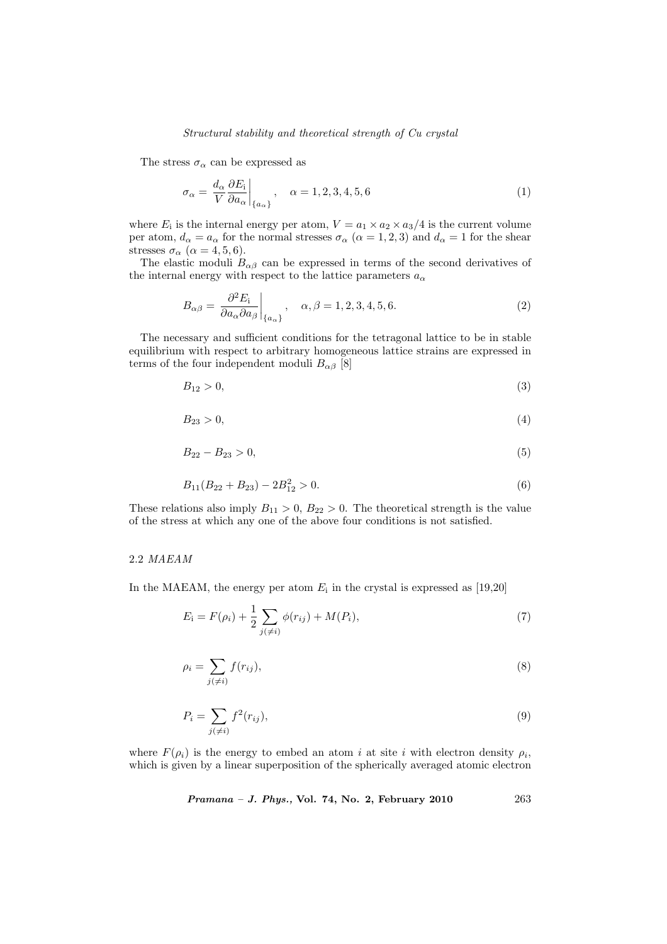#### Structural stability and theoretical strength of Cu crystal

The stress  $\sigma_{\alpha}$  can be expressed as

$$
\sigma_{\alpha} = \frac{d_{\alpha}}{V} \frac{\partial E_{i}}{\partial a_{\alpha}} \bigg|_{\{a_{\alpha}\}}, \quad \alpha = 1, 2, 3, 4, 5, 6 \tag{1}
$$

where  $E_i$  is the internal energy per atom,  $V = a_1 \times a_2 \times a_3/4$  is the current volume per atom,  $d_{\alpha} = a_{\alpha}$  for the normal stresses  $\sigma_{\alpha}$   $(\alpha = 1, 2, 3)$  and  $d_{\alpha} = 1$  for the shear stresses  $\sigma_{\alpha}$  ( $\alpha = 4, 5, 6$ ).

The elastic moduli  $B_{\alpha\beta}$  can be expressed in terms of the second derivatives of the internal energy with respect to the lattice parameters  $a_{\alpha}$ 

$$
B_{\alpha\beta} = \left. \frac{\partial^2 E_i}{\partial a_{\alpha} \partial a_{\beta}} \right|_{\{a_{\alpha}\}}, \quad \alpha, \beta = 1, 2, 3, 4, 5, 6. \tag{2}
$$

The necessary and sufficient conditions for the tetragonal lattice to be in stable equilibrium with respect to arbitrary homogeneous lattice strains are expressed in terms of the four independent moduli  $B_{\alpha\beta}$  [8]

$$
B_{12} > 0,\tag{3}
$$

$$
B_{23} > 0,\tag{4}
$$

$$
B_{22} - B_{23} > 0,\t\t(5)
$$

$$
B_{11}(B_{22} + B_{23}) - 2B_{12}^2 > 0. \tag{6}
$$

These relations also imply  $B_{11} > 0$ ,  $B_{22} > 0$ . The theoretical strength is the value of the stress at which any one of the above four conditions is not satisfied.

# 2.2 MAEAM

In the MAEAM, the energy per atom  $E_i$  in the crystal is expressed as [19,20]

$$
E_{i} = F(\rho_{i}) + \frac{1}{2} \sum_{j(\neq i)} \phi(r_{ij}) + M(P_{i}),
$$
\n(7)

$$
\rho_i = \sum_{j(\neq i)} f(r_{ij}),\tag{8}
$$

$$
P_i = \sum_{j(\neq i)} f^2(r_{ij}),\tag{9}
$$

where  $F(\rho_i)$  is the energy to embed an atom i at site i with electron density  $\rho_i$ , which is given by a linear superposition of the spherically averaged atomic electron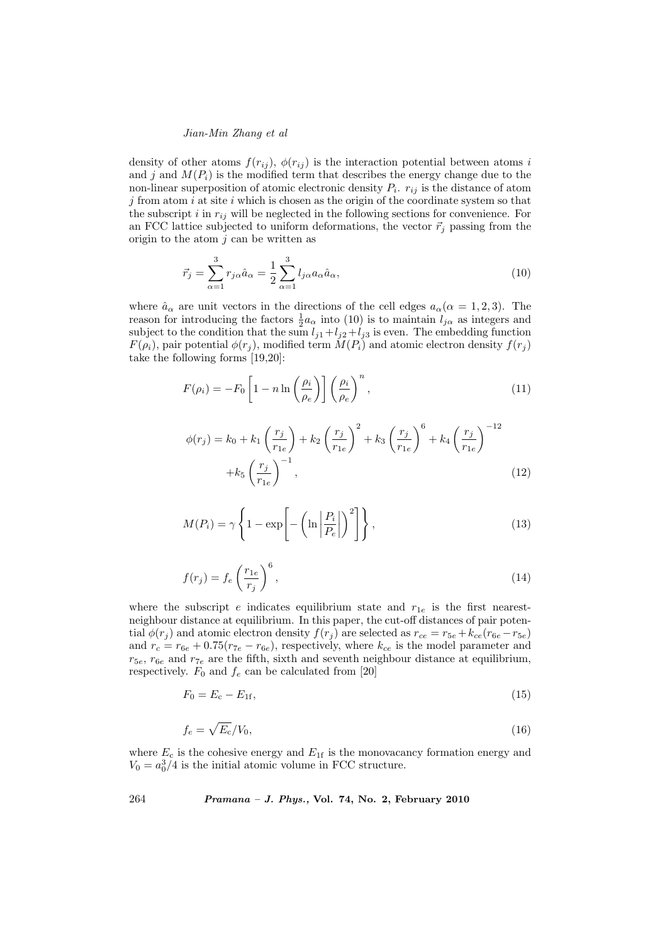density of other atoms  $f(r_{ij})$ ,  $\phi(r_{ij})$  is the interaction potential between atoms i and j and  $M(P_i)$  is the modified term that describes the energy change due to the non-linear superposition of atomic electronic density  $P_i$ .  $r_{ij}$  is the distance of atom  $j$  from atom  $i$  at site  $i$  which is chosen as the origin of the coordinate system so that the subscript i in  $r_{ij}$  will be neglected in the following sections for convenience. For an FCC lattice subjected to uniform deformations, the vector  $\vec{r}_j$  passing from the origin to the atom  $j$  can be written as

$$
\vec{r}_j = \sum_{\alpha=1}^3 r_{j\alpha} \hat{a}_\alpha = \frac{1}{2} \sum_{\alpha=1}^3 l_{j\alpha} a_\alpha \hat{a}_\alpha, \qquad (10)
$$

where  $\hat{a}_{\alpha}$  are unit vectors in the directions of the cell edges  $a_{\alpha}(\alpha = 1, 2, 3)$ . The reason for introducing the factors  $\frac{1}{2}a_{\alpha}$  into (10) is to maintain  $l_{j\alpha}$  as integers and subject to the condition that the sum  $l_{j1}+l_{j2}+l_{j3}$  is even. The embedding function  $F(\rho_i)$ , pair potential  $\phi(r_j)$ , modified term  $M(P_i)$  and atomic electron density  $f(r_j)$ take the following forms [19,20]:

$$
F(\rho_i) = -F_0 \left[ 1 - n \ln \left( \frac{\rho_i}{\rho_e} \right) \right] \left( \frac{\rho_i}{\rho_e} \right)^n, \tag{11}
$$

$$
\phi(r_j) = k_0 + k_1 \left(\frac{r_j}{r_{1e}}\right) + k_2 \left(\frac{r_j}{r_{1e}}\right)^2 + k_3 \left(\frac{r_j}{r_{1e}}\right)^6 + k_4 \left(\frac{r_j}{r_{1e}}\right)^{-12} + k_5 \left(\frac{r_j}{r_{1e}}\right)^{-1},
$$
\n(12)

$$
M(P_i) = \gamma \left\{ 1 - \exp \left[ -\left( \ln \left| \frac{P_i}{P_e} \right| \right)^2 \right] \right\},\tag{13}
$$

$$
f(r_j) = f_e \left(\frac{r_{1e}}{r_j}\right)^6,\tag{14}
$$

where the subscript e indicates equilibrium state and  $r_{1e}$  is the first nearestneighbour distance at equilibrium. In this paper, the cut-off distances of pair potential  $\phi(r_i)$  and atomic electron density  $f(r_i)$  are selected as  $r_{ce} = r_{5e} + k_{ce}(r_{6e} - r_{5e})$ and  $r_c = r_{6e} + 0.75(r_{7e} - r_{6e})$ , respectively, where  $k_{ce}$  is the model parameter and  $r_{5e}$ ,  $r_{6e}$  and  $r_{7e}$  are the fifth, sixth and seventh neighbour distance at equilibrium, respectively.  $F_0$  and  $f_e$  can be calculated from [20]

$$
F_0 = E_c - E_{1f},\tag{15}
$$

$$
f_e = \sqrt{E_c}/V_0,\tag{16}
$$

where  $E_c$  is the cohesive energy and  $E_{1f}$  is the monovacancy formation energy and  $V_0 = a_0^3/4$  is the initial atomic volume in FCC structure.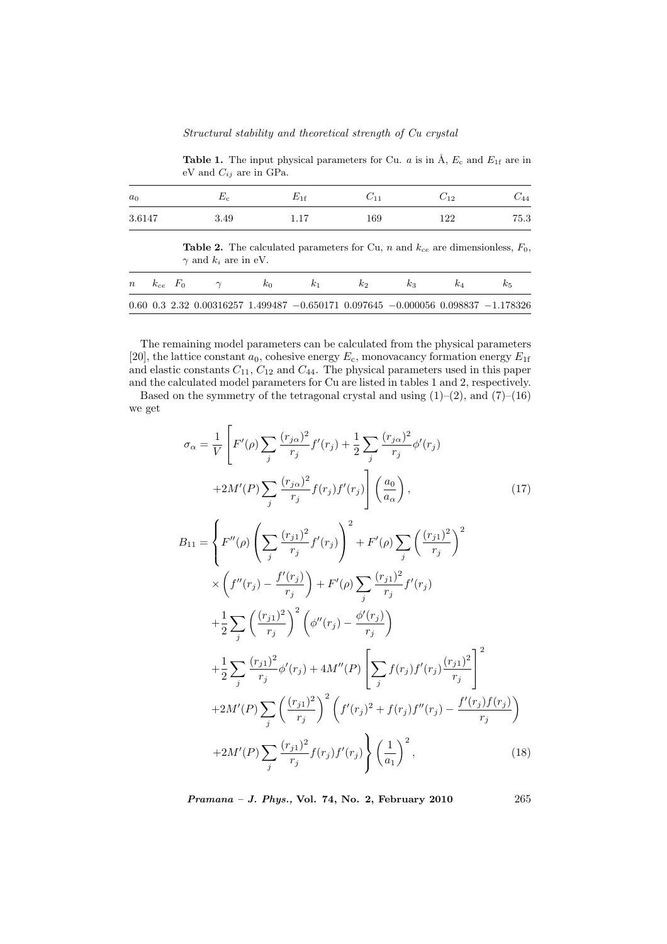**Table 1.** The input physical parameters for Cu.  $a$  is in  $\AA$ ,  $E_c$  and  $E_{1f}$  are in eV and  $C_{ij}$  are in GPa.

| a <sub>0</sub> | $E_c$                                                                                                                        | $E_{1f}$ | $C_{11}$ | $C_{12}$ | $C_{\it 44}$ |
|----------------|------------------------------------------------------------------------------------------------------------------------------|----------|----------|----------|--------------|
| 3.6147         | 3.49                                                                                                                         | 1.17     | 169      | 122      | 75.3         |
|                | <b>Table 2.</b> The calculated parameters for Cu, n and $k_{ce}$ are dimensionless, $F_0$ ,<br>$\gamma$ and $k_i$ are in eV. |          |          |          |              |

| $n \kappa_{ce}$ $F_0$ |  |                                                                                                       |  | k:2 |  |  |
|-----------------------|--|-------------------------------------------------------------------------------------------------------|--|-----|--|--|
|                       |  | $0.60$ $0.3$ $2.32$ $0.00316257$ $1.499487$ $-0.650171$ $0.097645$ $-0.000056$ $0.098837$ $-1.178326$ |  |     |  |  |

The remaining model parameters can be calculated from the physical parameters [20], the lattice constant  $a_0$ , cohesive energy  $E_c$ , monovacancy formation energy  $E_{1f}$ and elastic constants  $C_{11}$ ,  $C_{12}$  and  $C_{44}$ . The physical parameters used in this paper and the calculated model parameters for Cu are listed in tables 1 and 2, respectively.

Based on the symmetry of the tetragonal crystal and using  $(1)-(2)$ , and  $(7)-(16)$ we get

$$
\sigma_{\alpha} = \frac{1}{V} \left[ F'(\rho) \sum_{j} \frac{(r_{j\alpha})^{2}}{r_{j}} f'(r_{j}) + \frac{1}{2} \sum_{j} \frac{(r_{j\alpha})^{2}}{r_{j}} \phi'(r_{j}) \right]
$$
  
\n
$$
+2M'(P) \sum_{j} \frac{(r_{j\alpha})^{2}}{r_{j}} f(r_{j}) f'(r_{j}) \left[ \frac{a_{0}}{a_{\alpha}} \right], \qquad (17)
$$
  
\n
$$
B_{11} = \left\{ F''(\rho) \left( \sum_{j} \frac{(r_{j1})^{2}}{r_{j}} f'(r_{j}) \right)^{2} + F'(\rho) \sum_{j} \left( \frac{(r_{j1})^{2}}{r_{j}} \right)^{2} \right.
$$
  
\n
$$
\times \left( f''(r_{j}) - \frac{f'(r_{j})}{r_{j}} \right) + F'(\rho) \sum_{j} \frac{(r_{j1})^{2}}{r_{j}} f'(r_{j})
$$
  
\n
$$
+ \frac{1}{2} \sum_{j} \left( \frac{(r_{j1})^{2}}{r_{j}} \right)^{2} \left( \phi''(r_{j}) - \frac{\phi'(r_{j})}{r_{j}} \right)
$$
  
\n
$$
+ \frac{1}{2} \sum_{j} \frac{(r_{j1})^{2}}{r_{j}} \phi'(r_{j}) + 4M''(P) \left[ \sum_{j} f(r_{j}) f'(r_{j}) \frac{(r_{j1})^{2}}{r_{j}} \right]^{2}
$$
  
\n
$$
+ 2M'(P) \sum_{j} \left( \frac{(r_{j1})^{2}}{r_{j}} \right)^{2} \left( f'(r_{j})^{2} + f(r_{j}) f''(r_{j}) - \frac{f'(r_{j}) f(r_{j})}{r_{j}} \right)
$$
  
\n
$$
+ 2M'(P) \sum_{j} \frac{(r_{j1})^{2}}{r_{j}} f(r_{j}) f'(r_{j}) \right\} \left( \frac{1}{a_{1}} \right)^{2}, \qquad (18)
$$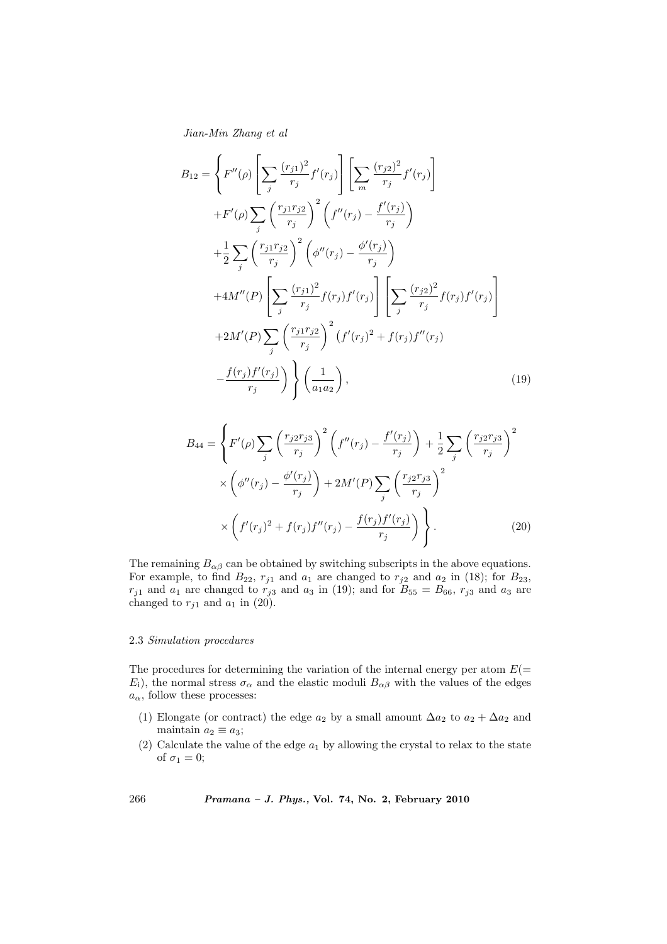$$
B_{12} = \left\{ F''(\rho) \left[ \sum_{j} \frac{(r_{j1})^2}{r_j} f'(r_j) \right] \left[ \sum_{m} \frac{(r_{j2})^2}{r_j} f'(r_j) \right] \right. \\ \left. + F'(\rho) \sum_{j} \left( \frac{r_{j1}r_{j2}}{r_j} \right)^2 \left( f''(r_j) - \frac{f'(r_j)}{r_j} \right) \\ + \frac{1}{2} \sum_{j} \left( \frac{r_{j1}r_{j2}}{r_j} \right)^2 \left( \phi''(r_j) - \frac{\phi'(r_j)}{r_j} \right) \\ + 4M''(P) \left[ \sum_{j} \frac{(r_{j1})^2}{r_j} f(r_j) f'(r_j) \right] \left[ \sum_{j} \frac{(r_{j2})^2}{r_j} f(r_j) f'(r_j) \right] \\ + 2M'(P) \sum_{j} \left( \frac{r_{j1}r_{j2}}{r_j} \right)^2 \left( f'(r_j)^2 + f(r_j) f''(r_j) \right) \\ - \frac{f(r_j) f'(r_j)}{r_j} \right) \left\{ \left( \frac{1}{a_1 a_2} \right), \tag{19}
$$

$$
B_{44} = \left\{ F'(\rho) \sum_{j} \left( \frac{r_{j2}r_{j3}}{r_j} \right)^2 \left( f''(r_j) - \frac{f'(r_j)}{r_j} \right) + \frac{1}{2} \sum_{j} \left( \frac{r_{j2}r_{j3}}{r_j} \right)^2 \right. \\ \times \left( \phi''(r_j) - \frac{\phi'(r_j)}{r_j} \right) + 2M'(P) \sum_{j} \left( \frac{r_{j2}r_{j3}}{r_j} \right)^2 \\ \times \left( f'(r_j)^2 + f(r_j)f''(r_j) - \frac{f(r_j)f'(r_j)}{r_j} \right) \right\} . \tag{20}
$$

The remaining  $B_{\alpha\beta}$  can be obtained by switching subscripts in the above equations. For example, to find  $B_{22}$ ,  $r_{j1}$  and  $a_1$  are changed to  $r_{j2}$  and  $a_2$  in (18); for  $B_{23}$ ,  $r_{j1}$  and  $a_1$  are changed to  $r_{j3}$  and  $a_3$  in (19); and for  $B_{55} = B_{66}$ ,  $r_{j3}$  and  $a_3$  are changed to  $r_{j1}$  and  $a_1$  in (20).

#### 2.3 Simulation procedures

The procedures for determining the variation of the internal energy per atom  $E(=$  $E_i$ , the normal stress  $\sigma_{\alpha}$  and the elastic moduli  $B_{\alpha\beta}$  with the values of the edges  $a_{\alpha}$ , follow these processes:

- (1) Elongate (or contract) the edge  $a_2$  by a small amount  $\Delta a_2$  to  $a_2 + \Delta a_2$  and maintain  $a_2 \equiv a_3$ ;
- (2) Calculate the value of the edge  $a_1$  by allowing the crystal to relax to the state of  $\sigma_1 = 0$ ;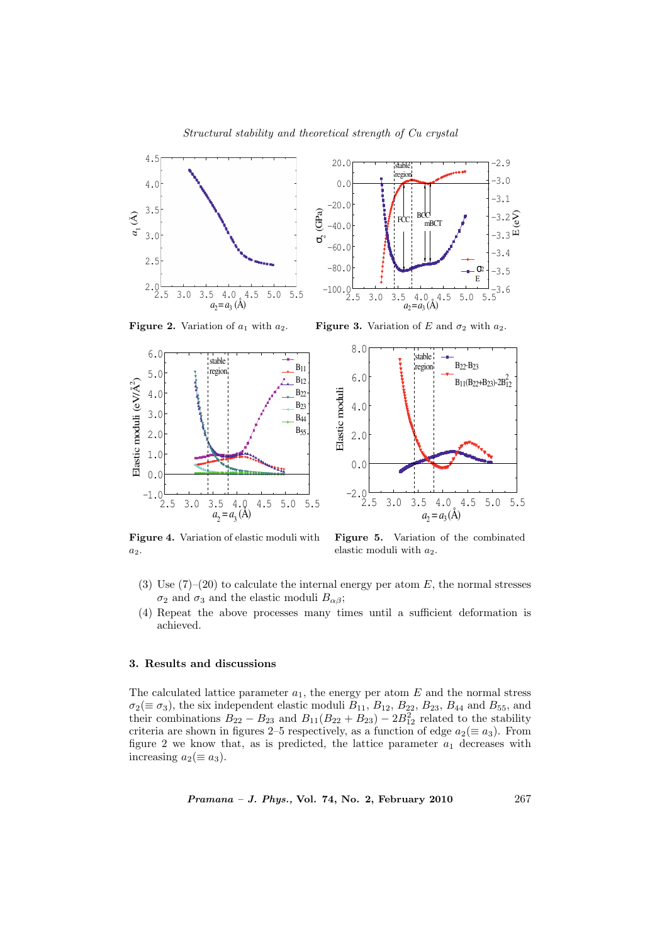

Figure 2. Variation of  $a_1$  with  $a_2$ . Figure 3. Variation of E and  $\sigma_2$  with  $a_2$ .





Figure 4. Variation of elastic moduli with a2.

Figure 5. Variation of the combinated elastic moduli with  $a_2$ .

- (3) Use  $(7)-(20)$  to calculate the internal energy per atom E, the normal stresses  $\sigma_2$  and  $\sigma_3$  and the elastic moduli  $B_{\alpha\beta}$ ;
- (4) Repeat the above processes many times until a sufficient deformation is achieved.

# 3. Results and discussions

The calculated lattice parameter  $a_1$ , the energy per atom  $E$  and the normal stress  $\sigma_2(\equiv \sigma_3)$ , the six independent elastic moduli  $B_{11}$ ,  $B_{12}$ ,  $B_{22}$ ,  $B_{23}$ ,  $B_{44}$  and  $B_{55}$ , and their combinations  $B_{22} - B_{23}$  and  $B_{11}(B_{22} + B_{23}) - 2B_{12}^2$  related to the stability criteria are shown in figures 2–5 respectively, as a function of edge  $a_2(\equiv a_3)$ . From figure 2 we know that, as is predicted, the lattice parameter  $a_1$  decreases with increasing  $a_2 (\equiv a_3)$ .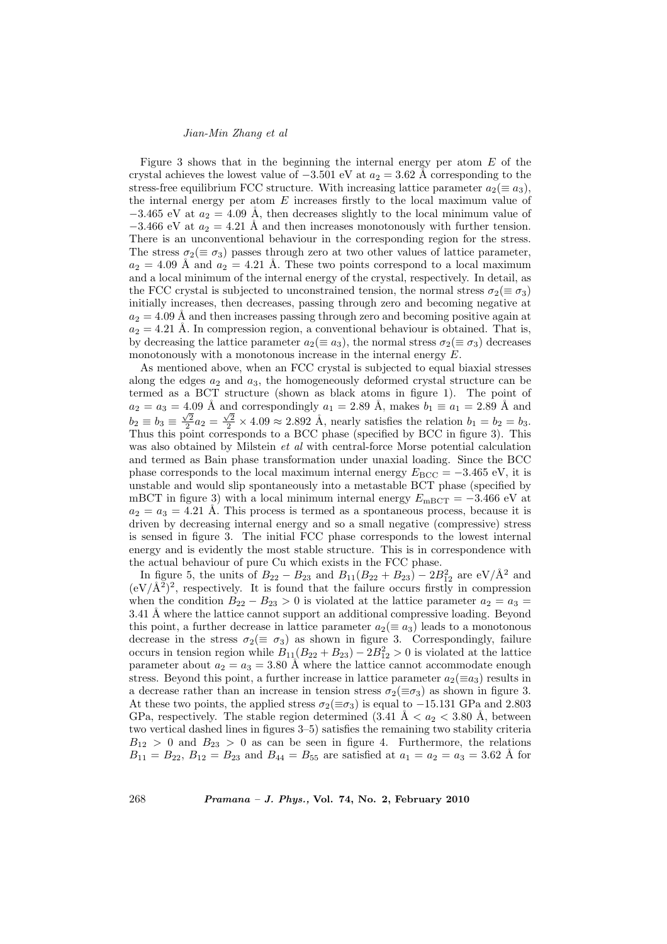Figure 3 shows that in the beginning the internal energy per atom  $E$  of the crystal achieves the lowest value of  $-3.501$  eV at  $a_2 = 3.62$  Å corresponding to the stress-free equilibrium FCC structure. With increasing lattice parameter  $a_2(\equiv a_3)$ , the internal energy per atom  $E$  increases firstly to the local maximum value of  $-3.465$  eV at  $a_2 = 4.09$  Å, then decreases slightly to the local minimum value of  $-3.466$  eV at  $a_2 = 4.21$  Å and then increases monotonously with further tension. There is an unconventional behaviour in the corresponding region for the stress. The stress  $\sigma_2(\equiv \sigma_3)$  passes through zero at two other values of lattice parameter,  $a_2 = 4.09$  Å and  $a_2 = 4.21$  Å. These two points correspond to a local maximum and a local minimum of the internal energy of the crystal, respectively. In detail, as the FCC crystal is subjected to unconstrained tension, the normal stress  $\sigma_2(\equiv \sigma_3)$ initially increases, then decreases, passing through zero and becoming negative at  $a_2 = 4.09$  Å and then increases passing through zero and becoming positive again at  $a_2 = 4.21$  Å. In compression region, a conventional behaviour is obtained. That is, by decreasing the lattice parameter  $a_2(\equiv a_3)$ , the normal stress  $\sigma_2(\equiv \sigma_3)$  decreases monotonously with a monotonous increase in the internal energy E.

As mentioned above, when an FCC crystal is subjected to equal biaxial stresses along the edges  $a_2$  and  $a_3$ , the homogeneously deformed crystal structure can be termed as a BCT structure (shown as black atoms in figure 1). The point of  $a_2 = a_3 = 4.09$  Å and correspondingly  $a_1 = 2.89$  Å, makes  $b_1 \equiv a_1 = 2.89$  Å and  $b_2 \equiv b_3 \equiv \frac{\sqrt{2}}{2}a_2 = \frac{\sqrt{2}}{2} \times 4.09 \approx 2.892$  Å, nearly satisfies the relation  $b_1 = b_2 = b_3$ . Thus this point corresponds to a BCC phase (specified by BCC in figure 3). This was also obtained by Milstein *et al* with central-force Morse potential calculation and termed as Bain phase transformation under unaxial loading. Since the BCC phase corresponds to the local maximum internal energy  $E_{\text{BCC}} = -3.465 \text{ eV}$ , it is unstable and would slip spontaneously into a metastable BCT phase (specified by mBCT in figure 3) with a local minimum internal energy  $E_{\text{mBCT}} = -3.466 \text{ eV}$  at  $a_2 = a_3 = 4.21$  Å. This process is termed as a spontaneous process, because it is driven by decreasing internal energy and so a small negative (compressive) stress is sensed in figure 3. The initial FCC phase corresponds to the lowest internal energy and is evidently the most stable structure. This is in correspondence with the actual behaviour of pure Cu which exists in the FCC phase.

In figure 5, the units of  $B_{22} - B_{23}$  and  $B_{11}(B_{22} + B_{23}) - 2B_{12}^2$  are eV/ $\AA^2$  and  $(eV/\AA^2)^2$ , respectively. It is found that the failure occurs firstly in compression when the condition  $B_{22} - B_{23} > 0$  is violated at the lattice parameter  $a_2 = a_3 =$ 3.41 Å where the lattice cannot support an additional compressive loading. Beyond this point, a further decrease in lattice parameter  $a_2 (\equiv a_3)$  leads to a monotonous decrease in the stress  $\sigma_2 (\equiv \sigma_3)$  as shown in figure 3. Correspondingly, failure occurs in tension region while  $B_{11}(B_{22} + B_{23}) - 2B_{12}^2 > 0$  is violated at the lattice parameter about  $a_2 = a_3 = 3.80$  Å where the lattice cannot accommodate enough stress. Beyond this point, a further increase in lattice parameter  $a_2(\equiv a_3)$  results in a decrease rather than an increase in tension stress  $\sigma_2(\equiv \sigma_3)$  as shown in figure 3. At these two points, the applied stress  $\sigma_2(\equiv \sigma_3)$  is equal to -15.131 GPa and 2.803 GPa, respectively. The stable region determined  $(3.41 \text{ Å} < a_2 < 3.80 \text{ Å}$ , between two vertical dashed lines in figures 3–5) satisfies the remaining two stability criteria  $B_{12} > 0$  and  $B_{23} > 0$  as can be seen in figure 4. Furthermore, the relations  $B_{11} = B_{22}, B_{12} = B_{23}$  and  $B_{44} = B_{55}$  are satisfied at  $a_1 = a_2 = a_3 = 3.62$  Å for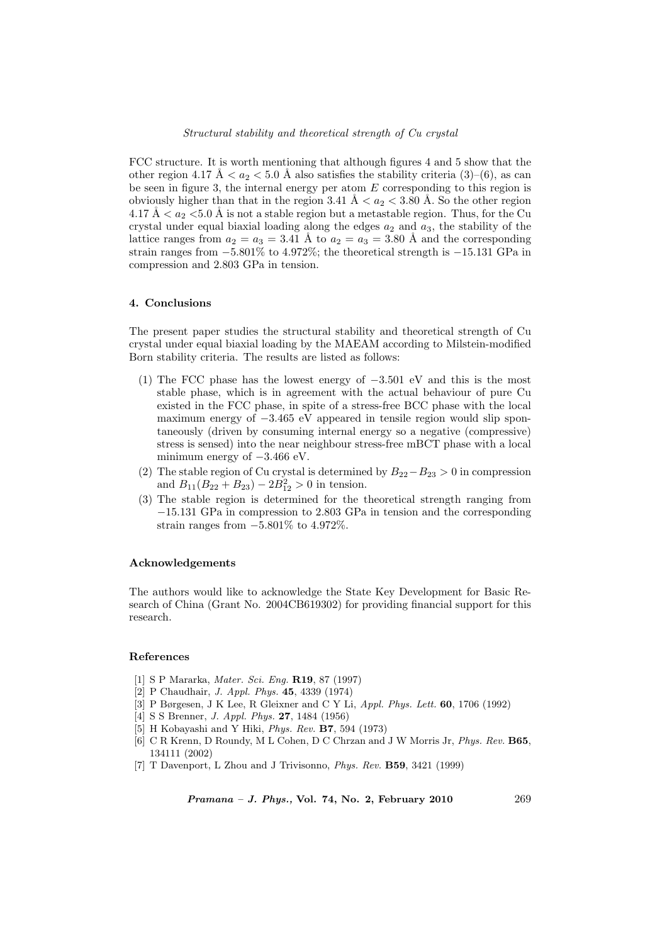FCC structure. It is worth mentioning that although figures 4 and 5 show that the other region 4.17 Å  $\lt a_2 \lt 5.0$  Å also satisfies the stability criteria (3)–(6), as can be seen in figure 3, the internal energy per atom  $E$  corresponding to this region is obviously higher than that in the region 3.41 Å  $\lt a_2 \lt 3.80$  Å. So the other region 4.17 Å  $\lt a_2 \lt 5.0$  Å is not a stable region but a metastable region. Thus, for the Cu crystal under equal biaxial loading along the edges  $a_2$  and  $a_3$ , the stability of the lattice ranges from  $a_2 = a_3 = 3.41$  Å to  $a_2 = a_3 = 3.80$  Å and the corresponding strain ranges from −5.801% to 4.972%; the theoretical strength is −15.131 GPa in compression and 2.803 GPa in tension.

### 4. Conclusions

The present paper studies the structural stability and theoretical strength of Cu crystal under equal biaxial loading by the MAEAM according to Milstein-modified Born stability criteria. The results are listed as follows:

- (1) The FCC phase has the lowest energy of −3.501 eV and this is the most stable phase, which is in agreement with the actual behaviour of pure Cu existed in the FCC phase, in spite of a stress-free BCC phase with the local maximum energy of  $-3.465$  eV appeared in tensile region would slip spontaneously (driven by consuming internal energy so a negative (compressive) stress is sensed) into the near neighbour stress-free mBCT phase with a local minimum energy of −3.466 eV.
- (2) The stable region of Cu crystal is determined by  $B_{22}-B_{23} > 0$  in compression and  $B_{11}(B_{22} + B_{23}) - 2B_{12}^2 > 0$  in tension.
- (3) The stable region is determined for the theoretical strength ranging from −15.131 GPa in compression to 2.803 GPa in tension and the corresponding strain ranges from  $-5.801\%$  to  $4.972\%$ .

#### Acknowledgements

The authors would like to acknowledge the State Key Development for Basic Research of China (Grant No. 2004CB619302) for providing financial support for this research.

#### References

- [1] S P Mararka, Mater. Sci. Eng. R19, 87 (1997)
- [2] P Chaudhair, J. Appl. Phys. 45, 4339 (1974)
- [3] P Børgesen, J K Lee, R Gleixner and C Y Li, Appl. Phys. Lett. 60, 1706 (1992)
- [4] S S Brenner, *J. Appl. Phys.* **27**, 1484 (1956)
- [5] H Kobayashi and Y Hiki, Phys. Rev. B7, 594 (1973)
- [6] C R Krenn, D Roundy, M L Cohen, D C Chrzan and J W Morris Jr, Phys. Rev. B65, 134111 (2002)
- [7] T Davenport, L Zhou and J Trivisonno, Phys. Rev. B59, 3421 (1999)